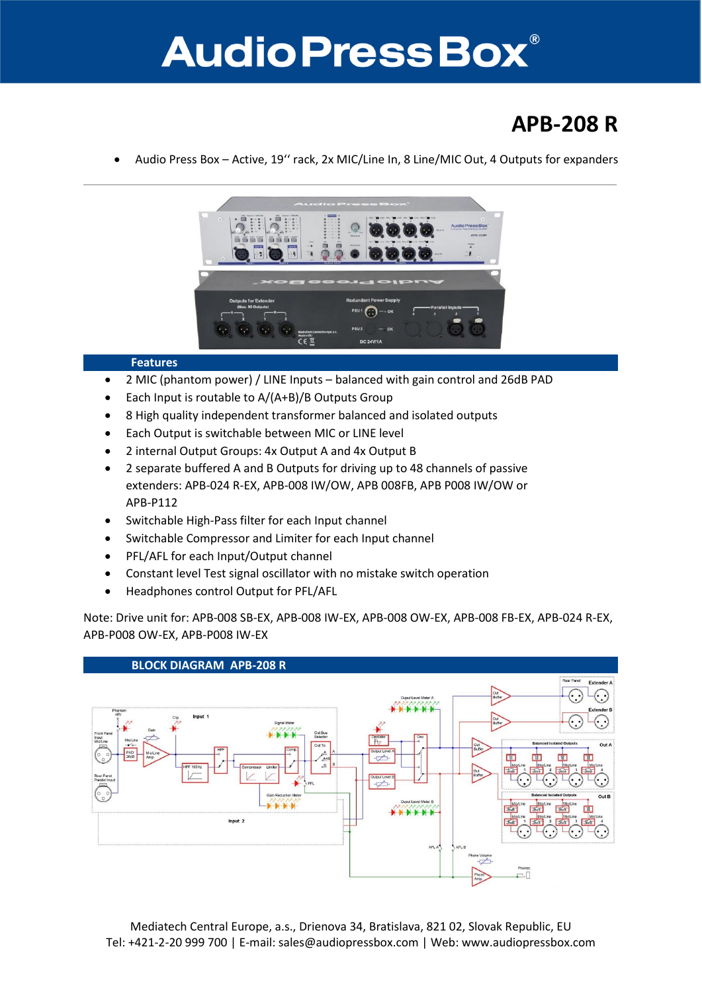## **Audio Press Box®**

## **APB-208 R**

Audio Press Box – Active, 19'' rack, 2x MIC/Line In, 8 Line/MIC Out, 4 Outputs for expanders



## **Features**

- 2 MIC (phantom power) / LINE Inputs balanced with gain control and 26dB PAD
- Each Input is routable to A/(A+B)/B Outputs Group
- 8 High quality independent transformer balanced and isolated outputs
- Each Output is switchable between MIC or LINE level
- 2 internal Output Groups: 4x Output A and 4x Output B
- 2 separate buffered A and B Outputs for driving up to 48 channels of passive extenders: APB-024 R-EX, APB-008 IW/OW, APB 008FB, APB P008 IW/OW or APB-P112
- Switchable High-Pass filter for each Input channel
- Switchable Compressor and Limiter for each Input channel
- PFL/AFL for each Input/Output channel
- Constant level Test signal oscillator with no mistake switch operation
- Headphones control Output for PFL/AFL

Note: Drive unit for: APB-008 SB-EX, APB-008 IW-EX, APB-008 OW-EX, APB-008 FB-EX, APB-024 R-EX, APB-P008 OW-EX, APB-P008 IW-EX



Mediatech Central Europe, a.s., Drienova 34, Bratislava, 821 02, Slovak Republic, EU Tel: +421-2-20 999 700 | E-mail: sales@audiopressbox.com | Web: www.audiopressbox.com